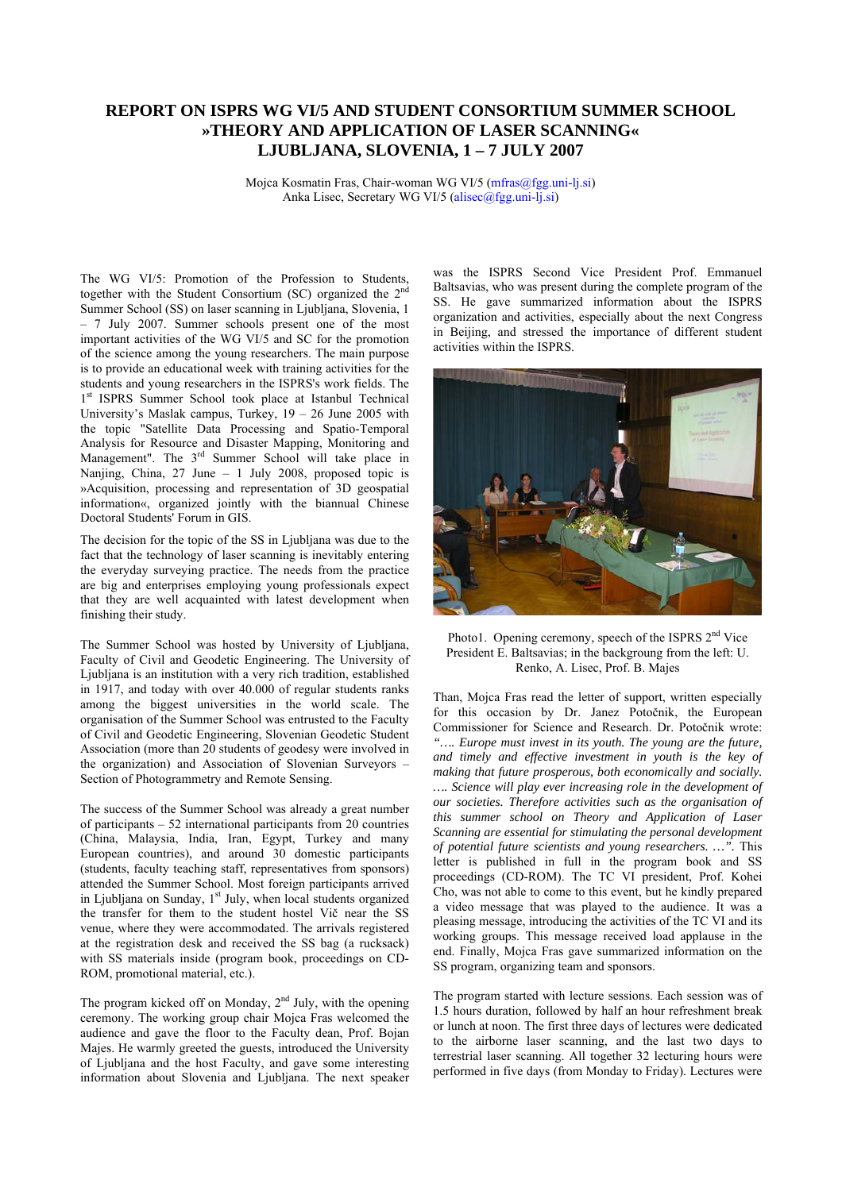## **REPORT ON ISPRS WG VI/5 AND STUDENT CONSORTIUM SUMMER SCHOOL »THEORY AND APPLICATION OF LASER SCANNING« LJUBLJANA, SLOVENIA, 1 – 7 JULY 2007**

Mojca Kosmatin Fras, Chair-woman WG VI/5 (mfras@fgg.uni-lj.si) Anka Lisec, Secretary WG VI/5 (alisec@fgg.uni-lj.si)

The WG VI/5: Promotion of the Profession to Students, together with the Student Consortium (SC) organized the 2<sup>nd</sup> Summer School (SS) on laser scanning in Ljubljana, Slovenia, 1 – 7 July 2007. Summer schools present one of the most important activities of the WG VI/5 and SC for the promotion of the science among the young researchers. The main purpose is to provide an educational week with training activities for the students and young researchers in the ISPRS's work fields. The 1<sup>st</sup> ISPRS Summer School took place at Istanbul Technical University's Maslak campus, Turkey,  $19 - 26$  June 2005 with the topic "Satellite Data Processing and Spatio-Temporal Analysis for Resource and Disaster Mapping, Monitoring and Management". The 3<sup>rd</sup> Summer School will take place in Nanjing, China, 27 June – 1 July 2008, proposed topic is »Acquisition, processing and representation of 3D geospatial information«, organized jointly with the biannual Chinese Doctoral Students' Forum in GIS.

The decision for the topic of the SS in Ljubljana was due to the fact that the technology of laser scanning is inevitably entering the everyday surveying practice. The needs from the practice are big and enterprises employing young professionals expect that they are well acquainted with latest development when finishing their study.

The Summer School was hosted by University of Ljubljana, Faculty of Civil and Geodetic Engineering. The University of Ljubljana is an institution with a very rich tradition, established in 1917, and today with over 40.000 of regular students ranks among the biggest universities in the world scale. The organisation of the Summer School was entrusted to the Faculty of Civil and Geodetic Engineering, Slovenian Geodetic Student Association (more than 20 students of geodesy were involved in the organization) and Association of Slovenian Surveyors – Section of Photogrammetry and Remote Sensing.

The success of the Summer School was already a great number of participants – 52 international participants from 20 countries (China, Malaysia, India, Iran, Egypt, Turkey and many European countries), and around 30 domestic participants (students, faculty teaching staff, representatives from sponsors) attended the Summer School. Most foreign participants arrived in Ljubljana on Sunday, 1<sup>st</sup> July, when local students organized the transfer for them to the student hostel Vič near the SS venue, where they were accommodated. The arrivals registered at the registration desk and received the SS bag (a rucksack) with SS materials inside (program book, proceedings on CD-ROM, promotional material, etc.).

The program kicked off on Monday,  $2<sup>nd</sup>$  July, with the opening ceremony. The working group chair Mojca Fras welcomed the audience and gave the floor to the Faculty dean, Prof. Bojan Majes. He warmly greeted the guests, introduced the University of Ljubljana and the host Faculty, and gave some interesting information about Slovenia and Ljubljana. The next speaker was the ISPRS Second Vice President Prof. Emmanuel Baltsavias, who was present during the complete program of the SS. He gave summarized information about the ISPRS organization and activities, especially about the next Congress in Beijing, and stressed the importance of different student activities within the ISPRS.



Photo1. Opening ceremony, speech of the ISPRS 2<sup>nd</sup> Vice President E. Baltsavias; in the backgroung from the left: U. Renko, A. Lisec, Prof. B. Majes

Than, Mojca Fras read the letter of support, written especially for this occasion by Dr. Janez Potočnik, the European Commissioner for Science and Research. Dr. Potočnik wrote: *"…. Europe must invest in its youth. The young are the future, and timely and effective investment in youth is the key of making that future prosperous, both economically and socially. …. Science will play ever increasing role in the development of our societies. Therefore activities such as the organisation of this summer school on Theory and Application of Laser Scanning are essential for stimulating the personal development of potential future scientists and young researchers. …".* This letter is published in full in the program book and SS proceedings (CD-ROM). The TC VI president, Prof. Kohei Cho, was not able to come to this event, but he kindly prepared a video message that was played to the audience. It was a pleasing message, introducing the activities of the TC VI and its working groups. This message received load applause in the end. Finally, Mojca Fras gave summarized information on the SS program, organizing team and sponsors.

The program started with lecture sessions. Each session was of 1.5 hours duration, followed by half an hour refreshment break or lunch at noon. The first three days of lectures were dedicated to the airborne laser scanning, and the last two days to terrestrial laser scanning. All together 32 lecturing hours were performed in five days (from Monday to Friday). Lectures were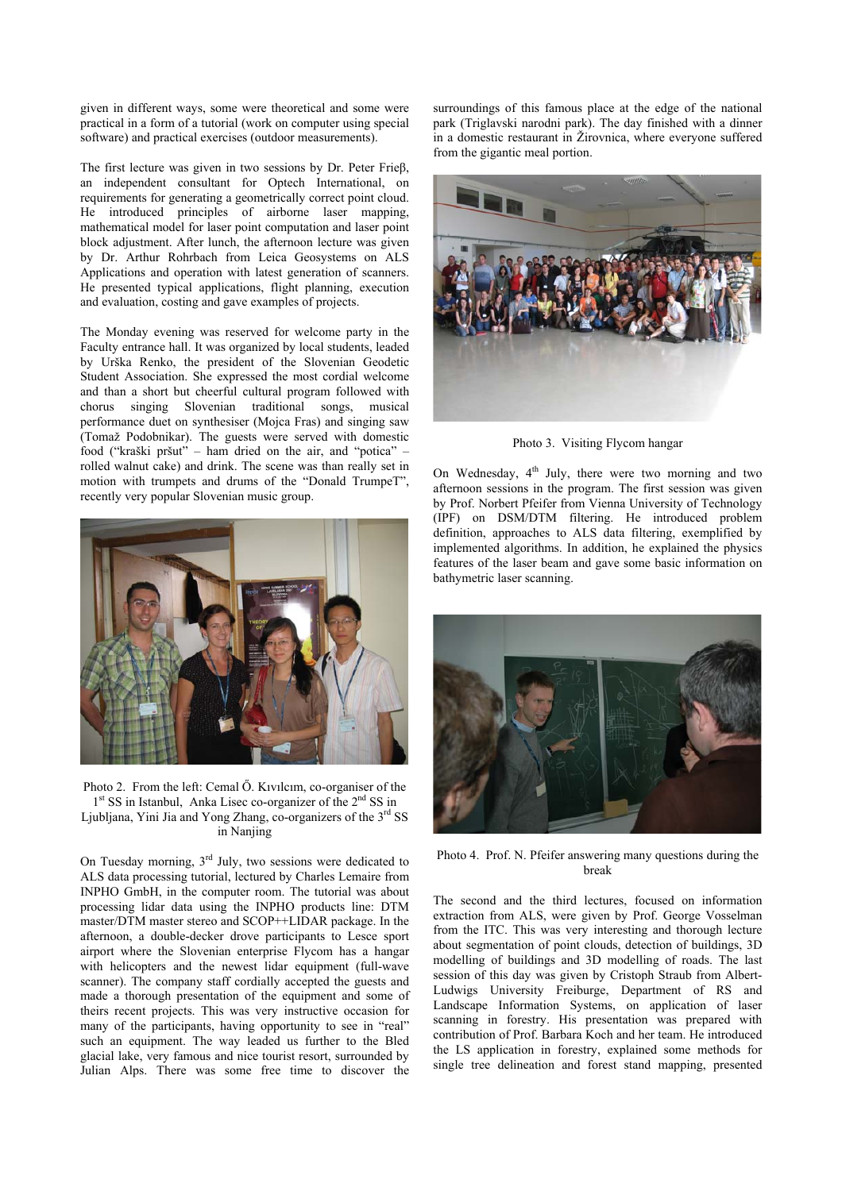given in different ways, some were theoretical and some were practical in a form of a tutorial (work on computer using special software) and practical exercises (outdoor measurements).

The first lecture was given in two sessions by Dr. Peter Frieβ, an independent consultant for Optech International, on requirements for generating a geometrically correct point cloud. He introduced principles of airborne laser mapping, mathematical model for laser point computation and laser point block adjustment. After lunch, the afternoon lecture was given by Dr. Arthur Rohrbach from Leica Geosystems on ALS Applications and operation with latest generation of scanners. He presented typical applications, flight planning, execution and evaluation, costing and gave examples of projects.

The Monday evening was reserved for welcome party in the Faculty entrance hall. It was organized by local students, leaded by Urška Renko, the president of the Slovenian Geodetic Student Association. She expressed the most cordial welcome and than a short but cheerful cultural program followed with chorus singing Slovenian traditional songs, musical performance duet on synthesiser (Mojca Fras) and singing saw (Tomaž Podobnikar). The guests were served with domestic food ("kraški pršut" – ham dried on the air, and "potica" – rolled walnut cake) and drink. The scene was than really set in motion with trumpets and drums of the "Donald TrumpeT", recently very popular Slovenian music group.



Photo 2. From the left: Cemal Ő. Kıvılcım, co-organiser of the 1<sup>st</sup> SS in Istanbul, Anka Lisec co-organizer of the 2<sup>nd</sup> SS in Ljubljana, Yini Jia and Yong Zhang, co-organizers of the 3rd SS in Nanjing

On Tuesday morning, 3rd July, two sessions were dedicated to ALS data processing tutorial, lectured by Charles Lemaire from INPHO GmbH, in the computer room. The tutorial was about processing lidar data using the INPHO products line: DTM master/DTM master stereo and SCOP++LIDAR package. In the afternoon, a double-decker drove participants to Lesce sport airport where the Slovenian enterprise Flycom has a hangar with helicopters and the newest lidar equipment (full-wave scanner). The company staff cordially accepted the guests and made a thorough presentation of the equipment and some of theirs recent projects. This was very instructive occasion for many of the participants, having opportunity to see in "real" such an equipment. The way leaded us further to the Bled glacial lake, very famous and nice tourist resort, surrounded by Julian Alps. There was some free time to discover the

surroundings of this famous place at the edge of the national park (Triglavski narodni park). The day finished with a dinner in a domestic restaurant in Žirovnica, where everyone suffered from the gigantic meal portion.



Photo 3. Visiting Flycom hangar

On Wednesday,  $4<sup>th</sup>$  July, there were two morning and two afternoon sessions in the program. The first session was given by Prof. Norbert Pfeifer from Vienna University of Technology (IPF) on DSM/DTM filtering. He introduced problem definition, approaches to ALS data filtering, exemplified by implemented algorithms. In addition, he explained the physics features of the laser beam and gave some basic information on bathymetric laser scanning.



Photo 4. Prof. N. Pfeifer answering many questions during the break

The second and the third lectures, focused on information extraction from ALS, were given by Prof. George Vosselman from the ITC. This was very interesting and thorough lecture about segmentation of point clouds, detection of buildings, 3D modelling of buildings and 3D modelling of roads. The last session of this day was given by Cristoph Straub from Albert-Ludwigs University Freiburge, Department of RS and Landscape Information Systems, on application of laser scanning in forestry. His presentation was prepared with contribution of Prof. Barbara Koch and her team. He introduced the LS application in forestry, explained some methods for single tree delineation and forest stand mapping, presented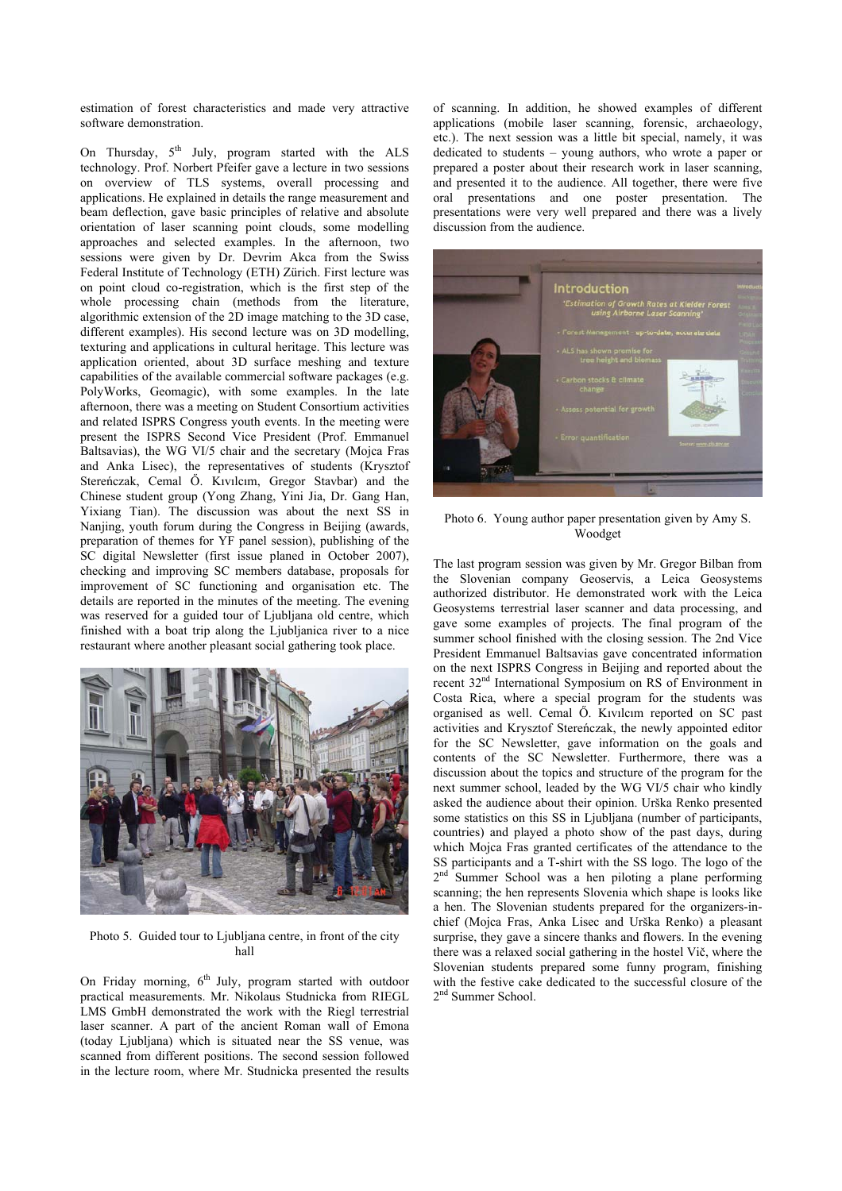estimation of forest characteristics and made very attractive software demonstration.

On Thursday,  $5<sup>th</sup>$  July, program started with the ALS technology. Prof. Norbert Pfeifer gave a lecture in two sessions on overview of TLS systems, overall processing and applications. He explained in details the range measurement and beam deflection, gave basic principles of relative and absolute orientation of laser scanning point clouds, some modelling approaches and selected examples. In the afternoon, two sessions were given by Dr. Devrim Akca from the Swiss Federal Institute of Technology (ETH) Zürich. First lecture was on point cloud co-registration, which is the first step of the whole processing chain (methods from the literature, algorithmic extension of the 2D image matching to the 3D case, different examples). His second lecture was on 3D modelling, texturing and applications in cultural heritage. This lecture was application oriented, about 3D surface meshing and texture capabilities of the available commercial software packages (e.g. PolyWorks, Geomagic), with some examples. In the late afternoon, there was a meeting on Student Consortium activities and related ISPRS Congress youth events. In the meeting were present the ISPRS Second Vice President (Prof. Emmanuel Baltsavias), the WG VI/5 chair and the secretary (Mojca Fras and Anka Lisec), the representatives of students (Krysztof Stereńczak, Cemal Ő. Kıvılcım, Gregor Stavbar) and the Chinese student group (Yong Zhang, Yini Jia, Dr. Gang Han, Yixiang Tian). The discussion was about the next SS in Nanjing, youth forum during the Congress in Beijing (awards, preparation of themes for YF panel session), publishing of the SC digital Newsletter (first issue planed in October 2007), checking and improving SC members database, proposals for improvement of SC functioning and organisation etc. The details are reported in the minutes of the meeting. The evening was reserved for a guided tour of Ljubljana old centre, which finished with a boat trip along the Ljubljanica river to a nice restaurant where another pleasant social gathering took place.



Photo 5. Guided tour to Ljubljana centre, in front of the city hall

On Friday morning,  $6<sup>th</sup>$  July, program started with outdoor practical measurements. Mr. Nikolaus Studnicka from RIEGL LMS GmbH demonstrated the work with the Riegl terrestrial laser scanner. A part of the ancient Roman wall of Emona (today Ljubljana) which is situated near the SS venue, was scanned from different positions. The second session followed in the lecture room, where Mr. Studnicka presented the results

of scanning. In addition, he showed examples of different applications (mobile laser scanning, forensic, archaeology, etc.). The next session was a little bit special, namely, it was dedicated to students – young authors, who wrote a paper or prepared a poster about their research work in laser scanning, and presented it to the audience. All together, there were five oral presentations and one poster presentation. The presentations were very well prepared and there was a lively discussion from the audience.



Photo 6. Young author paper presentation given by Amy S. Woodget

The last program session was given by Mr. Gregor Bilban from the Slovenian company Geoservis, a Leica Geosystems authorized distributor. He demonstrated work with the Leica Geosystems terrestrial laser scanner and data processing, and gave some examples of projects. The final program of the summer school finished with the closing session. The 2nd Vice President Emmanuel Baltsavias gave concentrated information on the next ISPRS Congress in Beijing and reported about the recent 32nd International Symposium on RS of Environment in Costa Rica, where a special program for the students was organised as well. Cemal Ő. Kıvılcım reported on SC past activities and Krysztof Stereńczak, the newly appointed editor for the SC Newsletter, gave information on the goals and contents of the SC Newsletter. Furthermore, there was a discussion about the topics and structure of the program for the next summer school, leaded by the WG VI/5 chair who kindly asked the audience about their opinion. Urška Renko presented some statistics on this SS in Ljubljana (number of participants, countries) and played a photo show of the past days, during which Mojca Fras granted certificates of the attendance to the SS participants and a T-shirt with the SS logo. The logo of the  $2<sup>nd</sup>$  Summer School was a hen piloting a plane performing scanning; the hen represents Slovenia which shape is looks like a hen. The Slovenian students prepared for the organizers-inchief (Mojca Fras, Anka Lisec and Urška Renko) a pleasant surprise, they gave a sincere thanks and flowers. In the evening there was a relaxed social gathering in the hostel Vič, where the Slovenian students prepared some funny program, finishing with the festive cake dedicated to the successful closure of the 2<sup>nd</sup> Summer School.